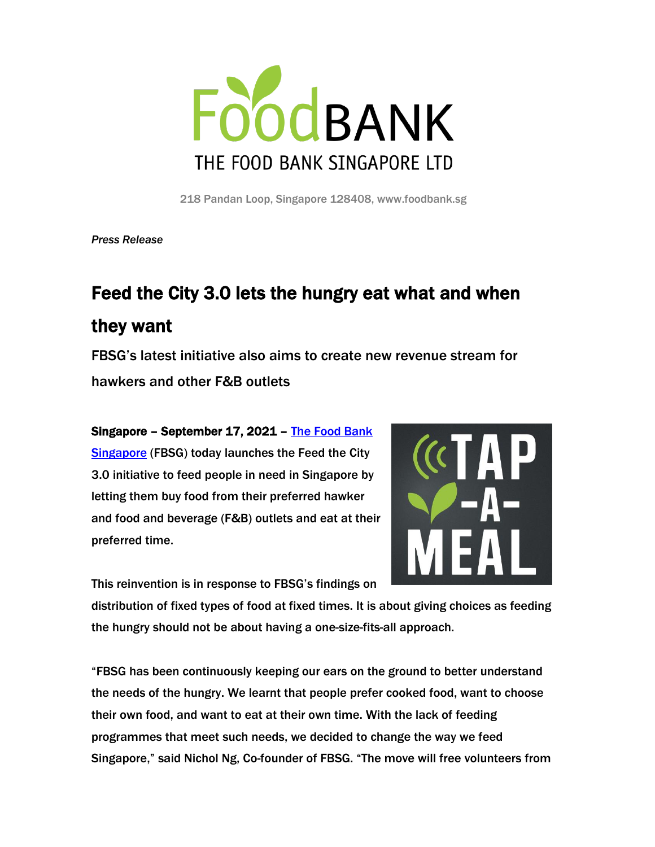

218 Pandan Loop, Singapore 128408, www.foodbank.sg

*Press Release*

# Feed the City 3.0 lets the hungry eat what and when they want

FBSG's latest initiative also aims to create new revenue stream for hawkers and other F&B outlets

# Singapore – September 17, 2021 – [The Food Bank](http://www.foodbank.sg/)  **[Singapore](http://www.foodbank.sg/)** (FBSG) today launches the Feed the City 3.0 initiative to feed people in need in Singapore by letting them buy food from their preferred hawker and food and beverage (F&B) outlets and eat at their preferred time.



This reinvention is in response to FBSG's findings on

distribution of fixed types of food at fixed times. It is about giving choices as feeding the hungry should not be about having a one-size-fits-all approach.

"FBSG has been continuously keeping our ears on the ground to better understand the needs of the hungry. We learnt that people prefer cooked food, want to choose their own food, and want to eat at their own time. With the lack of feeding programmes that meet such needs, we decided to change the way we feed Singapore," said Nichol Ng, Co-founder of FBSG. "The move will free volunteers from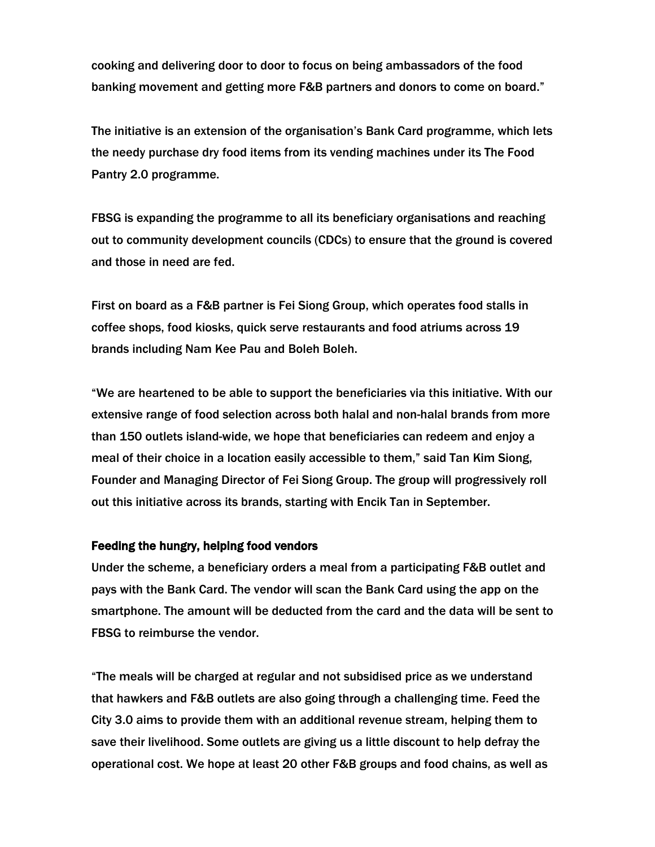cooking and delivering door to door to focus on being ambassadors of the food banking movement and getting more F&B partners and donors to come on board."

The initiative is an extension of the organisation's Bank Card programme, which lets the needy purchase dry food items from its vending machines under its The Food Pantry 2.0 programme.

FBSG is expanding the programme to all its beneficiary organisations and reaching out to community development councils (CDCs) to ensure that the ground is covered and those in need are fed.

First on board as a F&B partner is Fei Siong Group, which operates food stalls in coffee shops, food kiosks, quick serve restaurants and food atriums across 19 brands including Nam Kee Pau and Boleh Boleh.

"We are heartened to be able to support the beneficiaries via this initiative. With our extensive range of food selection across both halal and non-halal brands from more than 150 outlets island-wide, we hope that beneficiaries can redeem and enjoy a meal of their choice in a location easily accessible to them," said Tan Kim Siong, Founder and Managing Director of Fei Siong Group. The group will progressively roll out this initiative across its brands, starting with Encik Tan in September.

#### Feeding the hungry, helping food vendors

Under the scheme, a beneficiary orders a meal from a participating F&B outlet and pays with the Bank Card. The vendor will scan the Bank Card using the app on the smartphone. The amount will be deducted from the card and the data will be sent to FBSG to reimburse the vendor.

"The meals will be charged at regular and not subsidised price as we understand that hawkers and F&B outlets are also going through a challenging time. Feed the City 3.0 aims to provide them with an additional revenue stream, helping them to save their livelihood. Some outlets are giving us a little discount to help defray the operational cost. We hope at least 20 other F&B groups and food chains, as well as